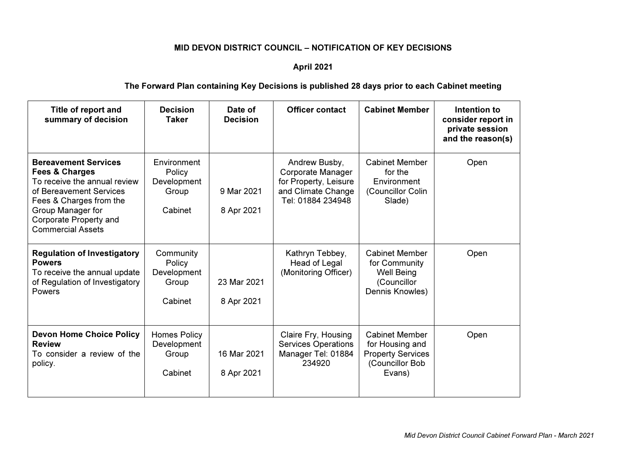## MID DEVON DISTRICT COUNCIL – NOTIFICATION OF KEY DECISIONS

## April 2021

## The Forward Plan containing Key Decisions is published 28 days prior to each Cabinet meeting

| Title of report and<br>summary of decision                                                                                                                                                                                | <b>Decision</b><br><b>Taker</b>                          | Date of<br><b>Decision</b> | <b>Officer contact</b>                                                                                 | <b>Cabinet Member</b>                                                                             | Intention to<br>consider report in<br>private session<br>and the reason(s) |
|---------------------------------------------------------------------------------------------------------------------------------------------------------------------------------------------------------------------------|----------------------------------------------------------|----------------------------|--------------------------------------------------------------------------------------------------------|---------------------------------------------------------------------------------------------------|----------------------------------------------------------------------------|
| <b>Bereavement Services</b><br><b>Fees &amp; Charges</b><br>To receive the annual review<br>of Bereavement Services<br>Fees & Charges from the<br>Group Manager for<br>Corporate Property and<br><b>Commercial Assets</b> | Environment<br>Policy<br>Development<br>Group<br>Cabinet | 9 Mar 2021<br>8 Apr 2021   | Andrew Busby,<br>Corporate Manager<br>for Property, Leisure<br>and Climate Change<br>Tel: 01884 234948 | <b>Cabinet Member</b><br>for the<br>Environment<br>(Councillor Colin<br>Slade)                    | Open                                                                       |
| <b>Regulation of Investigatory</b><br><b>Powers</b><br>To receive the annual update<br>of Regulation of Investigatory<br>Powers                                                                                           | Community<br>Policy<br>Development<br>Group<br>Cabinet   | 23 Mar 2021<br>8 Apr 2021  | Kathryn Tebbey,<br>Head of Legal<br>(Monitoring Officer)                                               | <b>Cabinet Member</b><br>for Community<br><b>Well Being</b><br>(Councillor<br>Dennis Knowles)     | Open                                                                       |
| <b>Devon Home Choice Policy</b><br><b>Review</b><br>To consider a review of the<br>policy.                                                                                                                                | Homes Policy<br>Development<br>Group<br>Cabinet          | 16 Mar 2021<br>8 Apr 2021  | Claire Fry, Housing<br><b>Services Operations</b><br>Manager Tel: 01884<br>234920                      | <b>Cabinet Member</b><br>for Housing and<br><b>Property Services</b><br>(Councillor Bob<br>Evans) | Open                                                                       |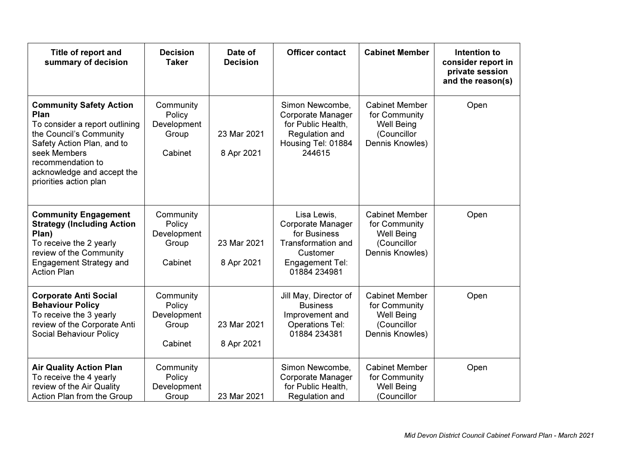| Title of report and<br>summary of decision                                                                                                                                                                                     | <b>Decision</b><br><b>Taker</b>                        | Date of<br><b>Decision</b> | <b>Officer contact</b>                                                                                                              | <b>Cabinet Member</b>                                                                         | Intention to<br>consider report in<br>private session<br>and the reason(s) |
|--------------------------------------------------------------------------------------------------------------------------------------------------------------------------------------------------------------------------------|--------------------------------------------------------|----------------------------|-------------------------------------------------------------------------------------------------------------------------------------|-----------------------------------------------------------------------------------------------|----------------------------------------------------------------------------|
| <b>Community Safety Action</b><br>Plan<br>To consider a report outlining<br>the Council's Community<br>Safety Action Plan, and to<br>seek Members<br>recommendation to<br>acknowledge and accept the<br>priorities action plan | Community<br>Policy<br>Development<br>Group<br>Cabinet | 23 Mar 2021<br>8 Apr 2021  | Simon Newcombe,<br><b>Corporate Manager</b><br>for Public Health,<br>Regulation and<br>Housing Tel: 01884<br>244615                 | <b>Cabinet Member</b><br>for Community<br><b>Well Being</b><br>(Councillor<br>Dennis Knowles) | Open                                                                       |
| <b>Community Engagement</b><br><b>Strategy (Including Action</b><br>Plan)<br>To receive the 2 yearly<br>review of the Community<br><b>Engagement Strategy and</b><br><b>Action Plan</b>                                        | Community<br>Policy<br>Development<br>Group<br>Cabinet | 23 Mar 2021<br>8 Apr 2021  | Lisa Lewis,<br><b>Corporate Manager</b><br>for Business<br><b>Transformation and</b><br>Customer<br>Engagement Tel:<br>01884 234981 | <b>Cabinet Member</b><br>for Community<br><b>Well Being</b><br>(Councillor<br>Dennis Knowles) | Open                                                                       |
| <b>Corporate Anti Social</b><br><b>Behaviour Policy</b><br>To receive the 3 yearly<br>review of the Corporate Anti<br>Social Behaviour Policy                                                                                  | Community<br>Policy<br>Development<br>Group<br>Cabinet | 23 Mar 2021<br>8 Apr 2021  | Jill May, Director of<br><b>Business</b><br>Improvement and<br><b>Operations Tel:</b><br>01884 234381                               | <b>Cabinet Member</b><br>for Community<br><b>Well Being</b><br>(Councillor<br>Dennis Knowles) | Open                                                                       |
| <b>Air Quality Action Plan</b><br>To receive the 4 yearly<br>review of the Air Quality<br>Action Plan from the Group                                                                                                           | Community<br>Policy<br>Development<br>Group            | 23 Mar 2021                | Simon Newcombe,<br><b>Corporate Manager</b><br>for Public Health,<br>Regulation and                                                 | <b>Cabinet Member</b><br>for Community<br><b>Well Being</b><br>(Councillor                    | Open                                                                       |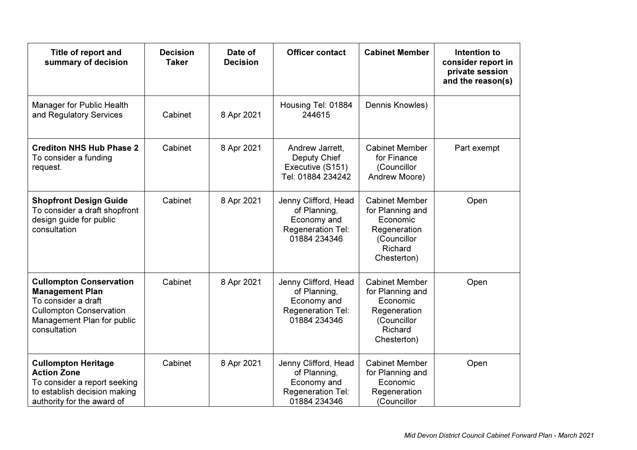| Title of report and<br>summary of decision                                                                                                                      | <b>Decision</b><br><b>Taker</b> | Date of<br><b>Decision</b> | <b>Officer contact</b>                                                                   | <b>Cabinet Member</b>                                                                                          | Intention to<br>consider report in<br>private session<br>and the reason(s) |
|-----------------------------------------------------------------------------------------------------------------------------------------------------------------|---------------------------------|----------------------------|------------------------------------------------------------------------------------------|----------------------------------------------------------------------------------------------------------------|----------------------------------------------------------------------------|
| Manager for Public Health<br>and Regulatory Services                                                                                                            | Cabinet                         | 8 Apr 2021                 | Housing Tel: 01884<br>244615                                                             | Dennis Knowles)                                                                                                |                                                                            |
| <b>Crediton NHS Hub Phase 2</b><br>To consider a funding<br>request.                                                                                            | Cabinet                         | 8 Apr 2021                 | Andrew Jarrett,<br>Deputy Chief<br>Executive (S151)<br>Tel: 01884 234242                 | <b>Cabinet Member</b><br>for Finance<br>(Councillor<br>Andrew Moore)                                           | Part exempt                                                                |
| <b>Shopfront Design Guide</b><br>To consider a draft shopfront<br>design guide for public<br>consultation                                                       | Cabinet                         | 8 Apr 2021                 | Jenny Clifford, Head<br>of Planning,<br>Economy and<br>Regeneration Tel:<br>01884 234346 | <b>Cabinet Member</b><br>for Planning and<br>Economic<br>Regeneration<br>(Councillor<br>Richard<br>Chesterton) | Open                                                                       |
| <b>Cullompton Conservation</b><br><b>Management Plan</b><br>To consider a draft<br><b>Cullompton Conservation</b><br>Management Plan for public<br>consultation | Cabinet                         | 8 Apr 2021                 | Jenny Clifford, Head<br>of Planning,<br>Economy and<br>Regeneration Tel:<br>01884 234346 | <b>Cabinet Member</b><br>for Planning and<br>Economic<br>Regeneration<br>(Councillor<br>Richard<br>Chesterton) | Open                                                                       |
| <b>Cullompton Heritage</b><br><b>Action Zone</b><br>To consider a report seeking<br>to establish decision making<br>authority for the award of                  | Cabinet                         | 8 Apr 2021                 | Jenny Clifford, Head<br>of Planning,<br>Economy and<br>Regeneration Tel:<br>01884 234346 | <b>Cabinet Member</b><br>for Planning and<br>Economic<br>Regeneration<br>(Councillor                           | Open                                                                       |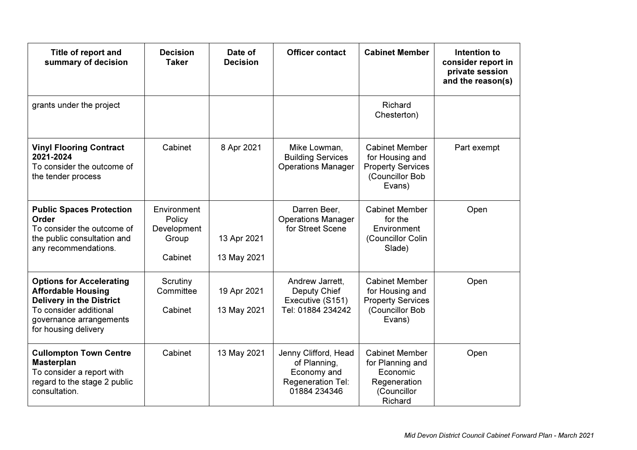| Title of report and<br>summary of decision                                                                                                                                   | <b>Decision</b><br><b>Taker</b>                          | Date of<br><b>Decision</b> | <b>Officer contact</b>                                                                   | <b>Cabinet Member</b>                                                                             | Intention to<br>consider report in<br>private session<br>and the reason(s) |
|------------------------------------------------------------------------------------------------------------------------------------------------------------------------------|----------------------------------------------------------|----------------------------|------------------------------------------------------------------------------------------|---------------------------------------------------------------------------------------------------|----------------------------------------------------------------------------|
| grants under the project                                                                                                                                                     |                                                          |                            |                                                                                          | Richard<br>Chesterton)                                                                            |                                                                            |
| <b>Vinyl Flooring Contract</b><br>2021-2024<br>To consider the outcome of<br>the tender process                                                                              | Cabinet                                                  | 8 Apr 2021                 | Mike Lowman,<br><b>Building Services</b><br><b>Operations Manager</b>                    | <b>Cabinet Member</b><br>for Housing and<br><b>Property Services</b><br>(Councillor Bob<br>Evans) | Part exempt                                                                |
| <b>Public Spaces Protection</b><br>Order<br>To consider the outcome of<br>the public consultation and<br>any recommendations.                                                | Environment<br>Policy<br>Development<br>Group<br>Cabinet | 13 Apr 2021<br>13 May 2021 | Darren Beer,<br><b>Operations Manager</b><br>for Street Scene                            | <b>Cabinet Member</b><br>for the<br>Environment<br>(Councillor Colin<br>Slade)                    | Open                                                                       |
| <b>Options for Accelerating</b><br><b>Affordable Housing</b><br><b>Delivery in the District</b><br>To consider additional<br>governance arrangements<br>for housing delivery | Scrutiny<br>Committee<br>Cabinet                         | 19 Apr 2021<br>13 May 2021 | Andrew Jarrett,<br>Deputy Chief<br>Executive (S151)<br>Tel: 01884 234242                 | <b>Cabinet Member</b><br>for Housing and<br><b>Property Services</b><br>(Councillor Bob<br>Evans) | Open                                                                       |
| <b>Cullompton Town Centre</b><br><b>Masterplan</b><br>To consider a report with<br>regard to the stage 2 public<br>consultation.                                             | Cabinet                                                  | 13 May 2021                | Jenny Clifford, Head<br>of Planning,<br>Economy and<br>Regeneration Tel:<br>01884 234346 | <b>Cabinet Member</b><br>for Planning and<br>Economic<br>Regeneration<br>(Councillor<br>Richard   | Open                                                                       |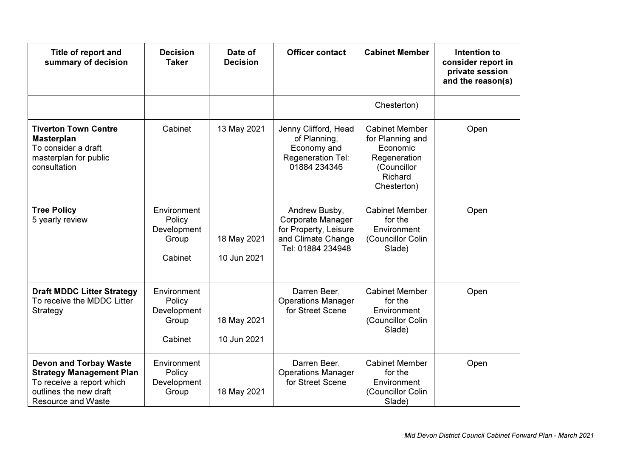| Title of report and<br>summary of decision                                                                                                           | <b>Decision</b><br><b>Taker</b>                          | Date of<br><b>Decision</b> | <b>Officer contact</b>                                                                                 | <b>Cabinet Member</b>                                                                                          | Intention to<br>consider report in<br>private session<br>and the reason(s) |
|------------------------------------------------------------------------------------------------------------------------------------------------------|----------------------------------------------------------|----------------------------|--------------------------------------------------------------------------------------------------------|----------------------------------------------------------------------------------------------------------------|----------------------------------------------------------------------------|
|                                                                                                                                                      |                                                          |                            |                                                                                                        | Chesterton)                                                                                                    |                                                                            |
| <b>Tiverton Town Centre</b><br><b>Masterplan</b><br>To consider a draft<br>masterplan for public<br>consultation                                     | Cabinet                                                  | 13 May 2021                | Jenny Clifford, Head<br>of Planning,<br>Economy and<br>Regeneration Tel:<br>01884 234346               | <b>Cabinet Member</b><br>for Planning and<br>Economic<br>Regeneration<br>(Councillor<br>Richard<br>Chesterton) | Open                                                                       |
| <b>Tree Policy</b><br>5 yearly review                                                                                                                | Environment<br>Policy<br>Development<br>Group<br>Cabinet | 18 May 2021<br>10 Jun 2021 | Andrew Busby,<br>Corporate Manager<br>for Property, Leisure<br>and Climate Change<br>Tel: 01884 234948 | <b>Cabinet Member</b><br>for the<br>Environment<br>(Councillor Colin<br>Slade)                                 | Open                                                                       |
| <b>Draft MDDC Litter Strategy</b><br>To receive the MDDC Litter<br>Strategy                                                                          | Environment<br>Policy<br>Development<br>Group<br>Cabinet | 18 May 2021<br>10 Jun 2021 | Darren Beer,<br><b>Operations Manager</b><br>for Street Scene                                          | <b>Cabinet Member</b><br>for the<br>Environment<br>(Councillor Colin<br>Slade)                                 | Open                                                                       |
| <b>Devon and Torbay Waste</b><br><b>Strategy Management Plan</b><br>To receive a report which<br>outlines the new draft<br><b>Resource and Waste</b> | Environment<br>Policy<br>Development<br>Group            | 18 May 2021                | Darren Beer,<br><b>Operations Manager</b><br>for Street Scene                                          | <b>Cabinet Member</b><br>for the<br>Environment<br>(Councillor Colin<br>Slade)                                 | Open                                                                       |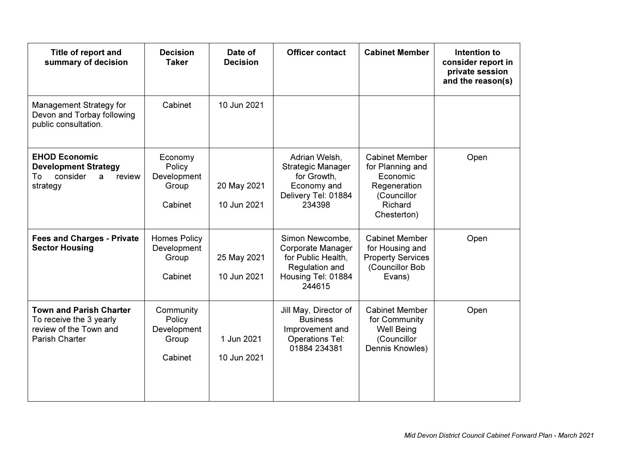| Title of report and<br>summary of decision                                                            | <b>Decision</b><br><b>Taker</b>                        | Date of<br><b>Decision</b> | <b>Officer contact</b>                                                                                       | <b>Cabinet Member</b>                                                                                          | Intention to<br>consider report in<br>private session<br>and the reason(s) |
|-------------------------------------------------------------------------------------------------------|--------------------------------------------------------|----------------------------|--------------------------------------------------------------------------------------------------------------|----------------------------------------------------------------------------------------------------------------|----------------------------------------------------------------------------|
| Management Strategy for<br>Devon and Torbay following<br>public consultation.                         | Cabinet                                                | 10 Jun 2021                |                                                                                                              |                                                                                                                |                                                                            |
| <b>EHOD Economic</b><br><b>Development Strategy</b><br>To<br>consider<br>review<br>a<br>strategy      | Economy<br>Policy<br>Development<br>Group<br>Cabinet   | 20 May 2021<br>10 Jun 2021 | Adrian Welsh,<br>Strategic Manager<br>for Growth,<br>Economy and<br>Delivery Tel: 01884<br>234398            | <b>Cabinet Member</b><br>for Planning and<br>Economic<br>Regeneration<br>(Councillor<br>Richard<br>Chesterton) | Open                                                                       |
| <b>Fees and Charges - Private</b><br><b>Sector Housing</b>                                            | <b>Homes Policy</b><br>Development<br>Group<br>Cabinet | 25 May 2021<br>10 Jun 2021 | Simon Newcombe,<br>Corporate Manager<br>for Public Health,<br>Regulation and<br>Housing Tel: 01884<br>244615 | <b>Cabinet Member</b><br>for Housing and<br><b>Property Services</b><br>(Councillor Bob<br>Evans)              | Open                                                                       |
| <b>Town and Parish Charter</b><br>To receive the 3 yearly<br>review of the Town and<br>Parish Charter | Community<br>Policy<br>Development<br>Group<br>Cabinet | 1 Jun 2021<br>10 Jun 2021  | Jill May, Director of<br><b>Business</b><br>Improvement and<br><b>Operations Tel:</b><br>01884 234381        | <b>Cabinet Member</b><br>for Community<br><b>Well Being</b><br>(Councillor<br>Dennis Knowles)                  | Open                                                                       |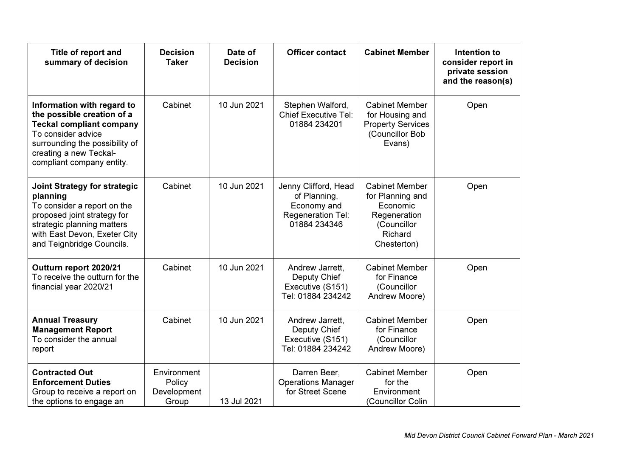| Title of report and<br>summary of decision                                                                                                                                                                 | <b>Decision</b><br><b>Taker</b>               | Date of<br><b>Decision</b> | <b>Officer contact</b>                                                                   | <b>Cabinet Member</b>                                                                                          | Intention to<br>consider report in<br>private session<br>and the reason(s) |
|------------------------------------------------------------------------------------------------------------------------------------------------------------------------------------------------------------|-----------------------------------------------|----------------------------|------------------------------------------------------------------------------------------|----------------------------------------------------------------------------------------------------------------|----------------------------------------------------------------------------|
| Information with regard to<br>the possible creation of a<br><b>Teckal compliant company</b><br>To consider advice<br>surrounding the possibility of<br>creating a new Teckal-<br>compliant company entity. | Cabinet                                       | 10 Jun 2021                | Stephen Walford,<br><b>Chief Executive Tel:</b><br>01884 234201                          | <b>Cabinet Member</b><br>for Housing and<br><b>Property Services</b><br>(Councillor Bob<br>Evans)              | Open                                                                       |
| <b>Joint Strategy for strategic</b><br>planning<br>To consider a report on the<br>proposed joint strategy for<br>strategic planning matters<br>with East Devon, Exeter City<br>and Teignbridge Councils.   | Cabinet                                       | 10 Jun 2021                | Jenny Clifford, Head<br>of Planning,<br>Economy and<br>Regeneration Tel:<br>01884 234346 | <b>Cabinet Member</b><br>for Planning and<br>Economic<br>Regeneration<br>(Councillor<br>Richard<br>Chesterton) | Open                                                                       |
| Outturn report 2020/21<br>To receive the outturn for the<br>financial year 2020/21                                                                                                                         | Cabinet                                       | 10 Jun 2021                | Andrew Jarrett,<br>Deputy Chief<br>Executive (S151)<br>Tel: 01884 234242                 | <b>Cabinet Member</b><br>for Finance<br>(Councillor<br>Andrew Moore)                                           | Open                                                                       |
| <b>Annual Treasury</b><br><b>Management Report</b><br>To consider the annual<br>report                                                                                                                     | Cabinet                                       | 10 Jun 2021                | Andrew Jarrett,<br>Deputy Chief<br>Executive (S151)<br>Tel: 01884 234242                 | <b>Cabinet Member</b><br>for Finance<br>(Councillor<br>Andrew Moore)                                           | Open                                                                       |
| <b>Contracted Out</b><br><b>Enforcement Duties</b><br>Group to receive a report on<br>the options to engage an                                                                                             | Environment<br>Policy<br>Development<br>Group | 13 Jul 2021                | Darren Beer,<br><b>Operations Manager</b><br>for Street Scene                            | <b>Cabinet Member</b><br>for the<br>Environment<br>(Councillor Colin                                           | Open                                                                       |